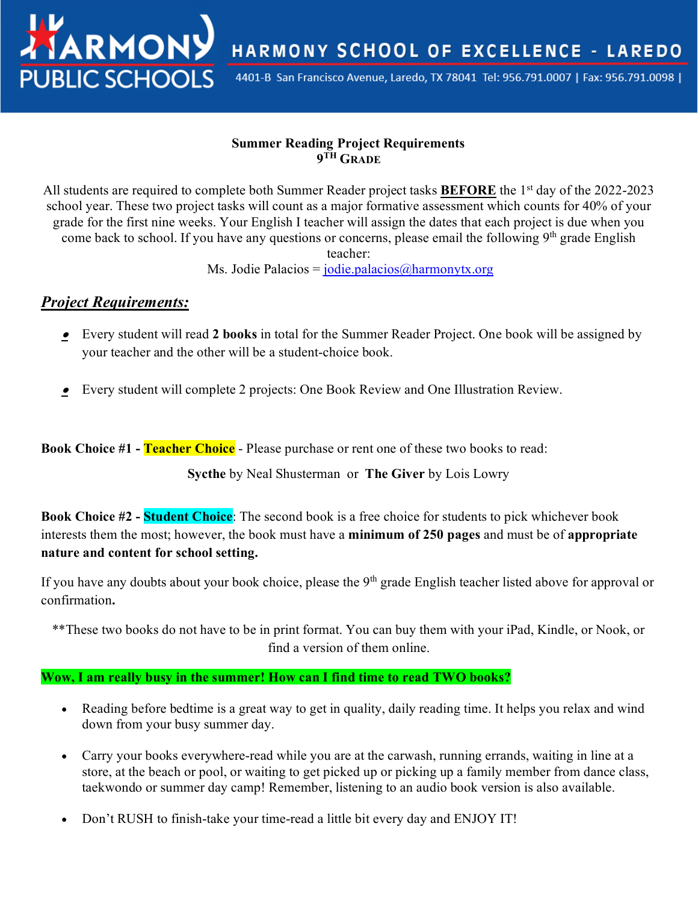HARMONY SCHOOL OF EXCELLENCE - LAREDO

4401-B San Francisco Avenue, Laredo, TX 78041 Tel: 956.791.0007 | Fax: 956.791.0098 |

#### **Summer Reading Project Requirements 9TH GRADE**

All students are required to complete both Summer Reader project tasks **BEFORE** the 1st day of the 2022-2023 school year. These two project tasks will count as a major formative assessment which counts for 40% of your grade for the first nine weeks. Your English I teacher will assign the dates that each project is due when you come back to school. If you have any questions or concerns, please email the following 9<sup>th</sup> grade English teacher:

Ms. Jodie Palacios = jodie.palacios@harmonytx.org

## *Project Requirements:*

**TIARMON** 

**PUBLIC SCHOO** 

- Every student will read **2 books** in total for the Summer Reader Project. One book will be assigned by your teacher and the other will be a student-choice book.
- •Every student will complete 2 projects: One Book Review and One Illustration Review.

**Book Choice #1 - Teacher Choice** - Please purchase or rent one of these two books to read:

**Sycthe** by Neal Shusterman or **The Giver** by Lois Lowry

**Book Choice #2 - Student Choice**: The second book is a free choice for students to pick whichever book interests them the most; however, the book must have a **minimum of 250 pages** and must be of **appropriate nature and content for school setting.** 

If you have any doubts about your book choice, please the  $9<sup>th</sup>$  grade English teacher listed above for approval or confirmation**.**

\*\*These two books do not have to be in print format. You can buy them with your iPad, Kindle, or Nook, or find a version of them online.

#### **Wow, I am really busy in the summer! How can I find time to read TWO books?**

- Reading before bedtime is a great way to get in quality, daily reading time. It helps you relax and wind down from your busy summer day.
- Carry your books everywhere-read while you are at the carwash, running errands, waiting in line at a store, at the beach or pool, or waiting to get picked up or picking up a family member from dance class, taekwondo or summer day camp! Remember, listening to an audio book version is also available.
- Don't RUSH to finish-take your time-read a little bit every day and ENJOY IT!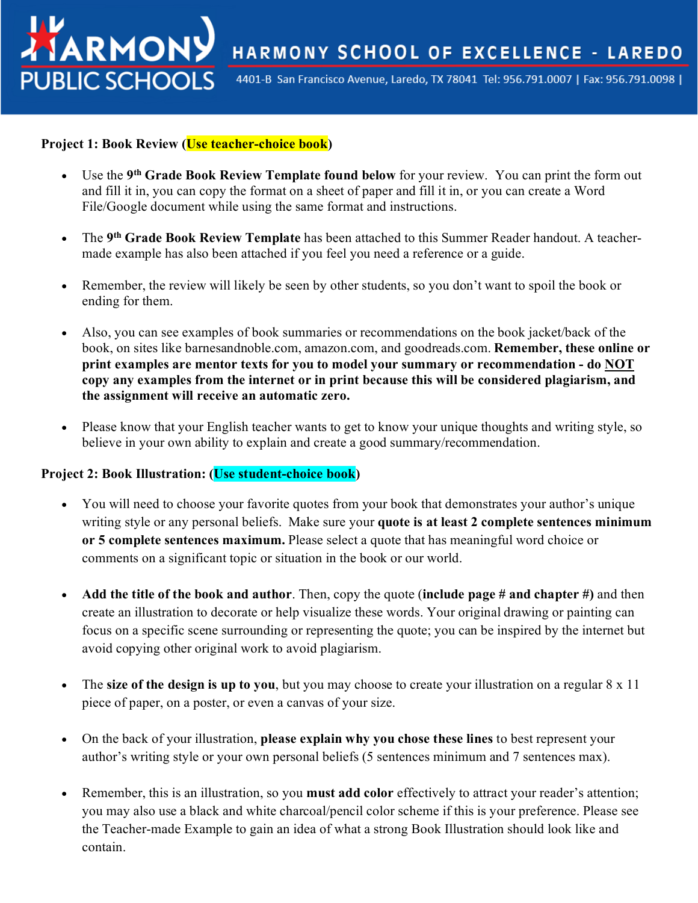HARMONY SCHOOL OF EXCELLENCE - LAREDO

4401-B San Francisco Avenue, Laredo, TX 78041 Tel: 956.791.0007 | Fax: 956.791.0098 |

#### **Project 1: Book Review (Use teacher-choice book)**

**ATARMON** 

**PUBLIC SCHOOLS** 

- Use the **9th Grade Book Review Template found below** for your review. You can print the form out and fill it in, you can copy the format on a sheet of paper and fill it in, or you can create a Word File/Google document while using the same format and instructions.
- The **9th Grade Book Review Template** has been attached to this Summer Reader handout. A teachermade example has also been attached if you feel you need a reference or a guide.
- Remember, the review will likely be seen by other students, so you don't want to spoil the book or ending for them.
- Also, you can see examples of book summaries or recommendations on the book jacket/back of the book, on sites like barnesandnoble.com, amazon.com, and goodreads.com. **Remember, these online or print examples are mentor texts for you to model your summary or recommendation - do NOT copy any examples from the internet or in print because this will be considered plagiarism, and the assignment will receive an automatic zero.**
- Please know that your English teacher wants to get to know your unique thoughts and writing style, so believe in your own ability to explain and create a good summary/recommendation.

#### **Project 2: Book Illustration: (Use student-choice book)**

- You will need to choose your favorite quotes from your book that demonstrates your author's unique writing style or any personal beliefs. Make sure your **quote is at least 2 complete sentences minimum or 5 complete sentences maximum.** Please select a quote that has meaningful word choice or comments on a significant topic or situation in the book or our world.
- **Add the title of the book and author**. Then, copy the quote (**include page # and chapter #)** and then create an illustration to decorate or help visualize these words. Your original drawing or painting can focus on a specific scene surrounding or representing the quote; you can be inspired by the internet but avoid copying other original work to avoid plagiarism.
- The **size of the design is up to you**, but you may choose to create your illustration on a regular 8 x 11 piece of paper, on a poster, or even a canvas of your size.
- On the back of your illustration, **please explain why you chose these lines** to best represent your author's writing style or your own personal beliefs (5 sentences minimum and 7 sentences max).
- Remember, this is an illustration, so you **must add color** effectively to attract your reader's attention; you may also use a black and white charcoal/pencil color scheme if this is your preference. Please see the Teacher-made Example to gain an idea of what a strong Book Illustration should look like and contain.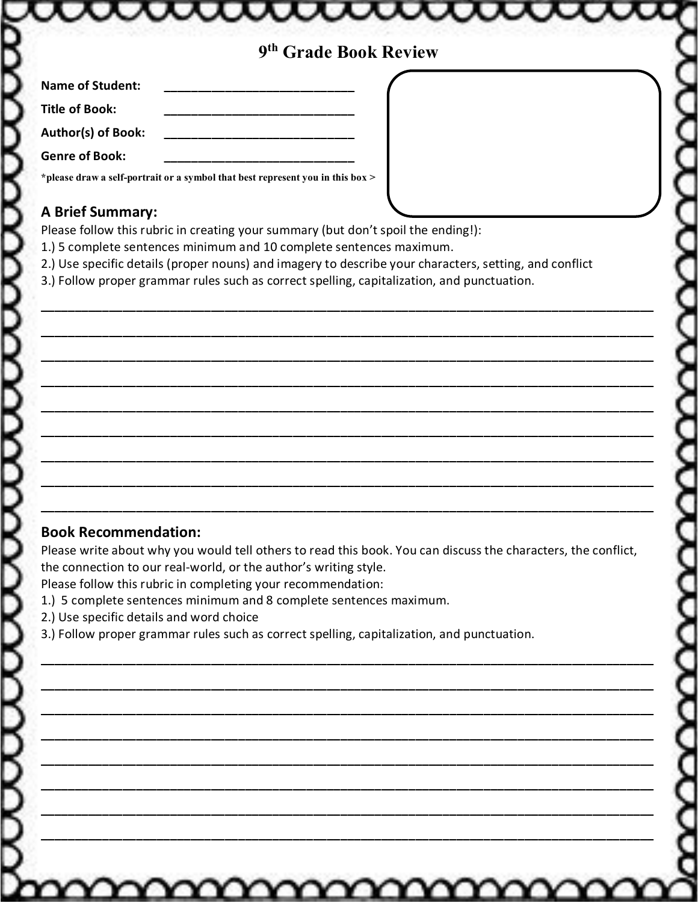# **9th Grade Book Review**

iaaaa

| <b>Name of Student:</b>   |  |
|---------------------------|--|
| ⊦ Title of Book:          |  |
| <b>Author(s) of Book:</b> |  |
| <b>Genre of Book:</b>     |  |

**\*please draw a self-portrait or a symbol that best represent you in this box >**

#### **A Brief Summary:**

Please follow this rubric in creating your summary (but don't spoil the ending!):

- 1.) 5 complete sentences minimum and 10 complete sentences maximum.
- 2.) Use specific details (proper nouns) and imagery to describe your characters, setting, and conflict

**\_\_\_\_\_\_\_\_\_\_\_\_\_\_\_\_\_\_\_\_\_\_\_\_\_\_\_\_\_\_\_\_\_\_\_\_\_\_\_\_\_\_\_\_\_\_\_\_\_\_\_\_\_\_\_\_\_\_\_\_\_\_\_\_\_\_\_\_\_\_\_\_\_\_\_\_\_\_\_\_\_\_\_\_\_\_\_\_\_\_**

**\_\_\_\_\_\_\_\_\_\_\_\_\_\_\_\_\_\_\_\_\_\_\_\_\_\_\_\_\_\_\_\_\_\_\_\_\_\_\_\_\_\_\_\_\_\_\_\_\_\_\_\_\_\_\_\_\_\_\_\_\_\_\_\_\_\_\_\_\_\_\_\_\_\_\_\_\_\_\_\_\_\_\_\_\_\_\_\_\_\_**

**\_\_\_\_\_\_\_\_\_\_\_\_\_\_\_\_\_\_\_\_\_\_\_\_\_\_\_\_\_\_\_\_\_\_\_\_\_\_\_\_\_\_\_\_\_\_\_\_\_\_\_\_\_\_\_\_\_\_\_\_\_\_\_\_\_\_\_\_\_\_\_\_\_\_\_\_\_\_\_\_\_\_\_\_\_\_\_\_\_\_**

**\_\_\_\_\_\_\_\_\_\_\_\_\_\_\_\_\_\_\_\_\_\_\_\_\_\_\_\_\_\_\_\_\_\_\_\_\_\_\_\_\_\_\_\_\_\_\_\_\_\_\_\_\_\_\_\_\_\_\_\_\_\_\_\_\_\_\_\_\_\_\_\_\_\_\_\_\_\_\_\_\_\_\_\_\_\_\_\_\_\_**

**\_\_\_\_\_\_\_\_\_\_\_\_\_\_\_\_\_\_\_\_\_\_\_\_\_\_\_\_\_\_\_\_\_\_\_\_\_\_\_\_\_\_\_\_\_\_\_\_\_\_\_\_\_\_\_\_\_\_\_\_\_\_\_\_\_\_\_\_\_\_\_\_\_\_\_\_\_\_\_\_\_\_\_\_\_\_\_\_\_\_**

**\_\_\_\_\_\_\_\_\_\_\_\_\_\_\_\_\_\_\_\_\_\_\_\_\_\_\_\_\_\_\_\_\_\_\_\_\_\_\_\_\_\_\_\_\_\_\_\_\_\_\_\_\_\_\_\_\_\_\_\_\_\_\_\_\_\_\_\_\_\_\_\_\_\_\_\_\_\_\_\_\_\_\_\_\_\_\_\_\_\_**

**\_\_\_\_\_\_\_\_\_\_\_\_\_\_\_\_\_\_\_\_\_\_\_\_\_\_\_\_\_\_\_\_\_\_\_\_\_\_\_\_\_\_\_\_\_\_\_\_\_\_\_\_\_\_\_\_\_\_\_\_\_\_\_\_\_\_\_\_\_\_\_\_\_\_\_\_\_\_\_\_\_\_\_\_\_\_\_\_\_\_**

**\_\_\_\_\_\_\_\_\_\_\_\_\_\_\_\_\_\_\_\_\_\_\_\_\_\_\_\_\_\_\_\_\_\_\_\_\_\_\_\_\_\_\_\_\_\_\_\_\_\_\_\_\_\_\_\_\_\_\_\_\_\_\_\_\_\_\_\_\_\_\_\_\_\_\_\_\_\_\_\_\_\_\_\_\_\_\_\_\_\_**

**\_\_\_\_\_\_\_\_\_\_\_\_\_\_\_\_\_\_\_\_\_\_\_\_\_\_\_\_\_\_\_\_\_\_\_\_\_\_\_\_\_\_\_\_\_\_\_\_\_\_\_\_\_\_\_\_\_\_\_\_\_\_\_\_\_\_\_\_\_\_\_\_\_\_\_\_\_\_\_\_\_\_\_\_\_\_\_\_\_\_**

3.) Follow proper grammar rules such as correct spelling, capitalization, and punctuation.

### **Book Recommendation:**

XXXXXX

Please write about why you would tell others to read this book. You can discuss the characters, the conflict, the connection to our real-world, or the author's writing style.

**\_\_\_\_\_\_\_\_\_\_\_\_\_\_\_\_\_\_\_\_\_\_\_\_\_\_\_\_\_\_\_\_\_\_\_\_\_\_\_\_\_\_\_\_\_\_\_\_\_\_\_\_\_\_\_\_\_\_\_\_\_\_\_\_\_\_\_\_\_\_\_\_\_\_\_\_\_\_\_\_\_\_\_\_\_\_\_\_\_\_**

**\_\_\_\_\_\_\_\_\_\_\_\_\_\_\_\_\_\_\_\_\_\_\_\_\_\_\_\_\_\_\_\_\_\_\_\_\_\_\_\_\_\_\_\_\_\_\_\_\_\_\_\_\_\_\_\_\_\_\_\_\_\_\_\_\_\_\_\_\_\_\_\_\_\_\_\_\_\_\_\_\_\_\_\_\_\_\_\_\_\_**

**\_\_\_\_\_\_\_\_\_\_\_\_\_\_\_\_\_\_\_\_\_\_\_\_\_\_\_\_\_\_\_\_\_\_\_\_\_\_\_\_\_\_\_\_\_\_\_\_\_\_\_\_\_\_\_\_\_\_\_\_\_\_\_\_\_\_\_\_\_\_\_\_\_\_\_\_\_\_\_\_\_\_\_\_\_\_\_\_\_\_**

**\_\_\_\_\_\_\_\_\_\_\_\_\_\_\_\_\_\_\_\_\_\_\_\_\_\_\_\_\_\_\_\_\_\_\_\_\_\_\_\_\_\_\_\_\_\_\_\_\_\_\_\_\_\_\_\_\_\_\_\_\_\_\_\_\_\_\_\_\_\_\_\_\_\_\_\_\_\_\_\_\_\_\_\_\_\_\_\_\_\_**

**\_\_\_\_\_\_\_\_\_\_\_\_\_\_\_\_\_\_\_\_\_\_\_\_\_\_\_\_\_\_\_\_\_\_\_\_\_\_\_\_\_\_\_\_\_\_\_\_\_\_\_\_\_\_\_\_\_\_\_\_\_\_\_\_\_\_\_\_\_\_\_\_\_\_\_\_\_\_\_\_\_\_\_\_\_\_\_\_\_\_**

**\_\_\_\_\_\_\_\_\_\_\_\_\_\_\_\_\_\_\_\_\_\_\_\_\_\_\_\_\_\_\_\_\_\_\_\_\_\_\_\_\_\_\_\_\_\_\_\_\_\_\_\_\_\_\_\_\_\_\_\_\_\_\_\_\_\_\_\_\_\_\_\_\_\_\_\_\_\_\_\_\_\_\_\_\_\_\_\_\_\_**

**\_\_\_\_\_\_\_\_\_\_\_\_\_\_\_\_\_\_\_\_\_\_\_\_\_\_\_\_\_\_\_\_\_\_\_\_\_\_\_\_\_\_\_\_\_\_\_\_\_\_\_\_\_\_\_\_\_\_\_\_\_\_\_\_\_\_\_\_\_\_\_\_\_\_\_\_\_\_\_\_\_\_\_\_\_\_\_\_\_\_**

**\_\_\_\_\_\_\_\_\_\_\_\_\_\_\_\_\_\_\_\_\_\_\_\_\_\_\_\_\_\_\_\_\_\_\_\_\_\_\_\_\_\_\_\_\_\_\_\_\_\_\_\_\_\_\_\_\_\_\_\_\_\_\_\_\_\_\_\_\_\_\_\_\_\_\_\_\_\_\_\_\_\_\_\_\_\_\_\_\_\_**

mmmm

Please follow this rubric in completing your recommendation:

- 1.) 5 complete sentences minimum and 8 complete sentences maximum.
- 2.) Use specific details and word choice
- 3.) Follow proper grammar rules such as correct spelling, capitalization, and punctuation.